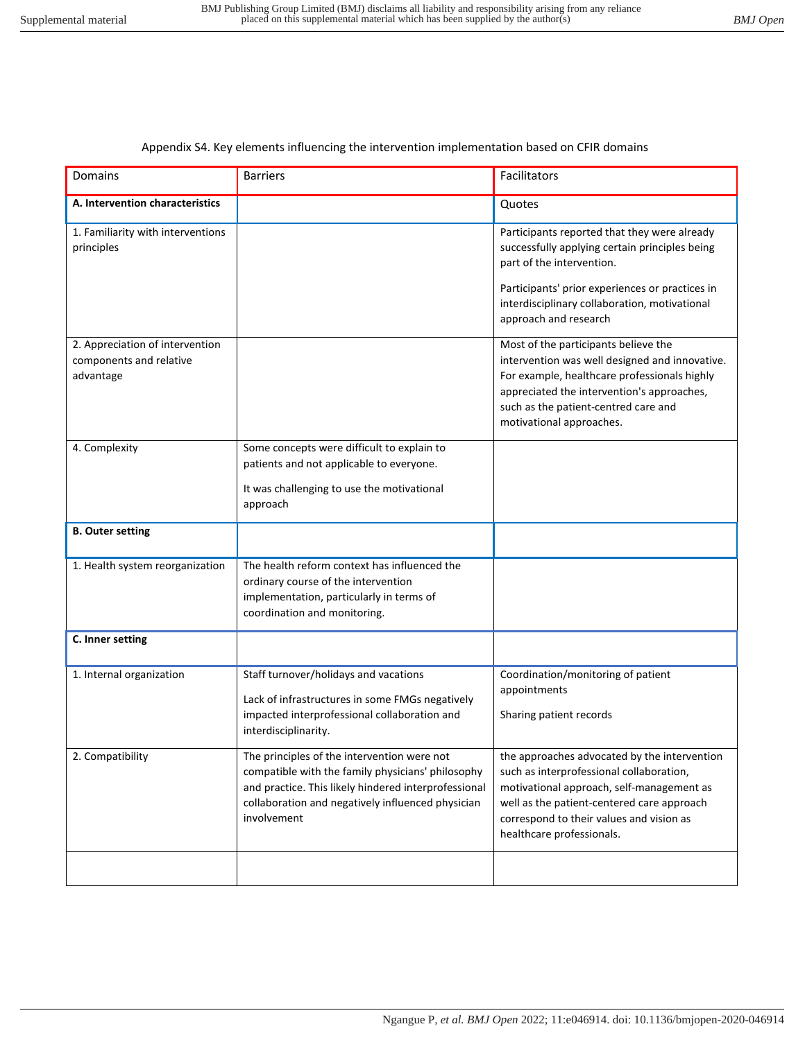## Appendix S4. Key elements influencing the intervention implementation based on CFIR domains

| <b>Domains</b>                                                          | <b>Barriers</b>                                                                                                                                                                                                              | Facilitators                                                                                                                                                                                                                                                 |
|-------------------------------------------------------------------------|------------------------------------------------------------------------------------------------------------------------------------------------------------------------------------------------------------------------------|--------------------------------------------------------------------------------------------------------------------------------------------------------------------------------------------------------------------------------------------------------------|
| A. Intervention characteristics                                         |                                                                                                                                                                                                                              | Quotes                                                                                                                                                                                                                                                       |
| 1. Familiarity with interventions<br>principles                         |                                                                                                                                                                                                                              | Participants reported that they were already<br>successfully applying certain principles being<br>part of the intervention.<br>Participants' prior experiences or practices in<br>interdisciplinary collaboration, motivational<br>approach and research     |
| 2. Appreciation of intervention<br>components and relative<br>advantage |                                                                                                                                                                                                                              | Most of the participants believe the<br>intervention was well designed and innovative.<br>For example, healthcare professionals highly<br>appreciated the intervention's approaches,<br>such as the patient-centred care and<br>motivational approaches.     |
| 4. Complexity                                                           | Some concepts were difficult to explain to<br>patients and not applicable to everyone.<br>It was challenging to use the motivational<br>approach                                                                             |                                                                                                                                                                                                                                                              |
| <b>B. Outer setting</b>                                                 |                                                                                                                                                                                                                              |                                                                                                                                                                                                                                                              |
| 1. Health system reorganization                                         | The health reform context has influenced the<br>ordinary course of the intervention<br>implementation, particularly in terms of<br>coordination and monitoring.                                                              |                                                                                                                                                                                                                                                              |
| C. Inner setting                                                        |                                                                                                                                                                                                                              |                                                                                                                                                                                                                                                              |
| 1. Internal organization                                                | Staff turnover/holidays and vacations<br>Lack of infrastructures in some FMGs negatively<br>impacted interprofessional collaboration and<br>interdisciplinarity.                                                             | Coordination/monitoring of patient<br>appointments<br>Sharing patient records                                                                                                                                                                                |
| 2. Compatibility                                                        | The principles of the intervention were not<br>compatible with the family physicians' philosophy<br>and practice. This likely hindered interprofessional<br>collaboration and negatively influenced physician<br>involvement | the approaches advocated by the intervention<br>such as interprofessional collaboration,<br>motivational approach, self-management as<br>well as the patient-centered care approach<br>correspond to their values and vision as<br>healthcare professionals. |
|                                                                         |                                                                                                                                                                                                                              |                                                                                                                                                                                                                                                              |